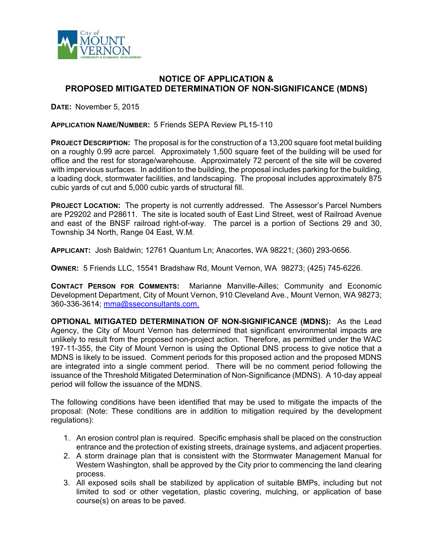

## **NOTICE OF APPLICATION & PROPOSED MITIGATED DETERMINATION OF NON-SIGNIFICANCE (MDNS)**

**DATE:** November 5, 2015

## **APPLICATION NAME/NUMBER:** 5 Friends SEPA Review PL15-110

**PROJECT DESCRIPTION:** The proposal is for the construction of a 13,200 square foot metal building on a roughly 0.99 acre parcel. Approximately 1,500 square feet of the building will be used for office and the rest for storage/warehouse. Approximately 72 percent of the site will be covered with impervious surfaces. In addition to the building, the proposal includes parking for the building, a loading dock, stormwater facilities, and landscaping. The proposal includes approximately 875 cubic yards of cut and 5,000 cubic yards of structural fill.

**PROJECT LOCATION:** The property is not currently addressed. The Assessor's Parcel Numbers are P29202 and P28611. The site is located south of East Lind Street, west of Railroad Avenue and east of the BNSF railroad right-of-way. The parcel is a portion of Sections 29 and 30, Township 34 North, Range 04 East, W.M.

**APPLICANT:** Josh Baldwin; 12761 Quantum Ln; Anacortes, WA 98221; (360) 293-0656.

**OWNER:** 5 Friends LLC, 15541 Bradshaw Rd, Mount Vernon, WA 98273; (425) 745-6226.

**CONTACT PERSON FOR COMMENTS:** Marianne Manville-Ailles; Community and Economic Development Department, City of Mount Vernon, 910 Cleveland Ave., Mount Vernon, WA 98273; 360-336-3614; mma@sseconsultants.com.

**OPTIONAL MITIGATED DETERMINATION OF NON-SIGNIFICANCE (MDNS):** As the Lead Agency, the City of Mount Vernon has determined that significant environmental impacts are unlikely to result from the proposed non-project action. Therefore, as permitted under the WAC 197-11-355, the City of Mount Vernon is using the Optional DNS process to give notice that a MDNS is likely to be issued. Comment periods for this proposed action and the proposed MDNS are integrated into a single comment period. There will be no comment period following the issuance of the Threshold Mitigated Determination of Non-Significance (MDNS). A 10-day appeal period will follow the issuance of the MDNS.

The following conditions have been identified that may be used to mitigate the impacts of the proposal: (Note: These conditions are in addition to mitigation required by the development regulations):

- 1. An erosion control plan is required. Specific emphasis shall be placed on the construction entrance and the protection of existing streets, drainage systems, and adjacent properties.
- 2. A storm drainage plan that is consistent with the Stormwater Management Manual for Western Washington, shall be approved by the City prior to commencing the land clearing process.
- 3. All exposed soils shall be stabilized by application of suitable BMPs, including but not limited to sod or other vegetation, plastic covering, mulching, or application of base course(s) on areas to be paved.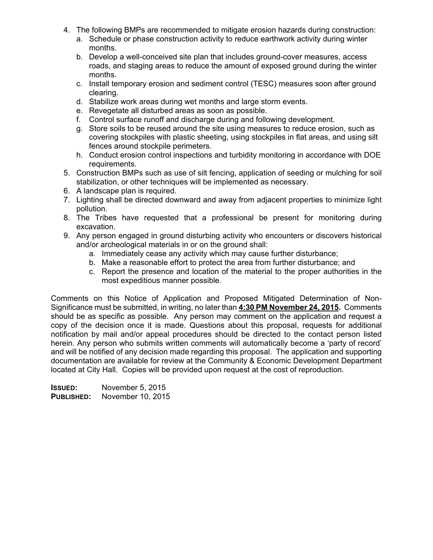- 4. The following BMPs are recommended to mitigate erosion hazards during construction:
	- a. Schedule or phase construction activity to reduce earthwork activity during winter months.
	- b. Develop a well-conceived site plan that includes ground-cover measures, access roads, and staging areas to reduce the amount of exposed ground during the winter months.
	- c. Install temporary erosion and sediment control (TESC) measures soon after ground clearing.
	- d. Stabilize work areas during wet months and large storm events.
	- e. Revegetate all disturbed areas as soon as possible.
	- f. Control surface runoff and discharge during and following development.
	- g. Store soils to be reused around the site using measures to reduce erosion, such as covering stockpiles with plastic sheeting, using stockpiles in flat areas, and using silt fences around stockpile perimeters.
	- h. Conduct erosion control inspections and turbidity monitoring in accordance with DOE requirements.
- 5. Construction BMPs such as use of silt fencing, application of seeding or mulching for soil stabilization, or other techniques will be implemented as necessary.
- 6. A landscape plan is required.
- 7. Lighting shall be directed downward and away from adjacent properties to minimize light pollution.
- 8. The Tribes have requested that a professional be present for monitoring during excavation.
- 9. Any person engaged in ground disturbing activity who encounters or discovers historical and/or archeological materials in or on the ground shall:
	- a. Immediately cease any activity which may cause further disturbance;
	- b. Make a reasonable effort to protect the area from further disturbance; and
	- c. Report the presence and location of the material to the proper authorities in the most expeditious manner possible.

Comments on this Notice of Application and Proposed Mitigated Determination of Non-Significance must be submitted, in writing, no later than **4:30 PM November 24, 2015.** Comments should be as specific as possible. Any person may comment on the application and request a copy of the decision once it is made. Questions about this proposal, requests for additional notification by mail and/or appeal procedures should be directed to the contact person listed herein. Any person who submits written comments will automatically become a 'party of record' and will be notified of any decision made regarding this proposal. The application and supporting documentation are available for review at the Community & Economic Development Department located at City Hall. Copies will be provided upon request at the cost of reproduction.

**ISSUED:** November 5, 2015 **PUBLISHED:** November 10, 2015